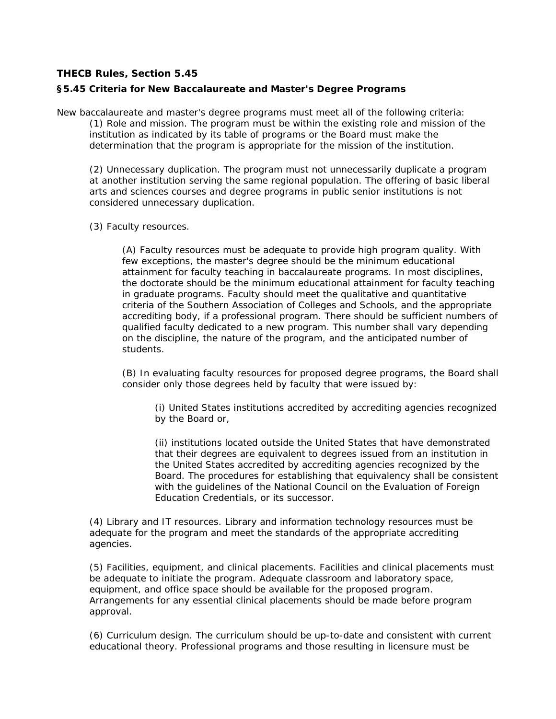## **THECB Rules, Section 5.45**

## **§5.45 Criteria for New Baccalaureate and Master's Degree Programs**

New baccalaureate and master's degree programs must meet all of the following criteria: (1) Role and mission. The program must be within the existing role and mission of the institution as indicated by its table of programs or the Board must make the determination that the program is appropriate for the mission of the institution.

(2) Unnecessary duplication. The program must not unnecessarily duplicate a program at another institution serving the same regional population. The offering of basic liberal arts and sciences courses and degree programs in public senior institutions is not considered unnecessary duplication.

## (3) Faculty resources.

(A) Faculty resources must be adequate to provide high program quality. With few exceptions, the master's degree should be the minimum educational attainment for faculty teaching in baccalaureate programs. In most disciplines, the doctorate should be the minimum educational attainment for faculty teaching in graduate programs. Faculty should meet the qualitative and quantitative criteria of the Southern Association of Colleges and Schools, and the appropriate accrediting body, if a professional program. There should be sufficient numbers of qualified faculty dedicated to a new program. This number shall vary depending on the discipline, the nature of the program, and the anticipated number of students.

(B) In evaluating faculty resources for proposed degree programs, the Board shall consider only those degrees held by faculty that were issued by:

(i) United States institutions accredited by accrediting agencies recognized by the Board or,

(ii) institutions located outside the United States that have demonstrated that their degrees are equivalent to degrees issued from an institution in the United States accredited by accrediting agencies recognized by the Board. The procedures for establishing that equivalency shall be consistent with the guidelines of the National Council on the Evaluation of Foreign Education Credentials, or its successor.

(4) Library and IT resources. Library and information technology resources must be adequate for the program and meet the standards of the appropriate accrediting agencies.

(5) Facilities, equipment, and clinical placements. Facilities and clinical placements must be adequate to initiate the program. Adequate classroom and laboratory space, equipment, and office space should be available for the proposed program. Arrangements for any essential clinical placements should be made before program approval.

(6) Curriculum design. The curriculum should be up-to-date and consistent with current educational theory. Professional programs and those resulting in licensure must be